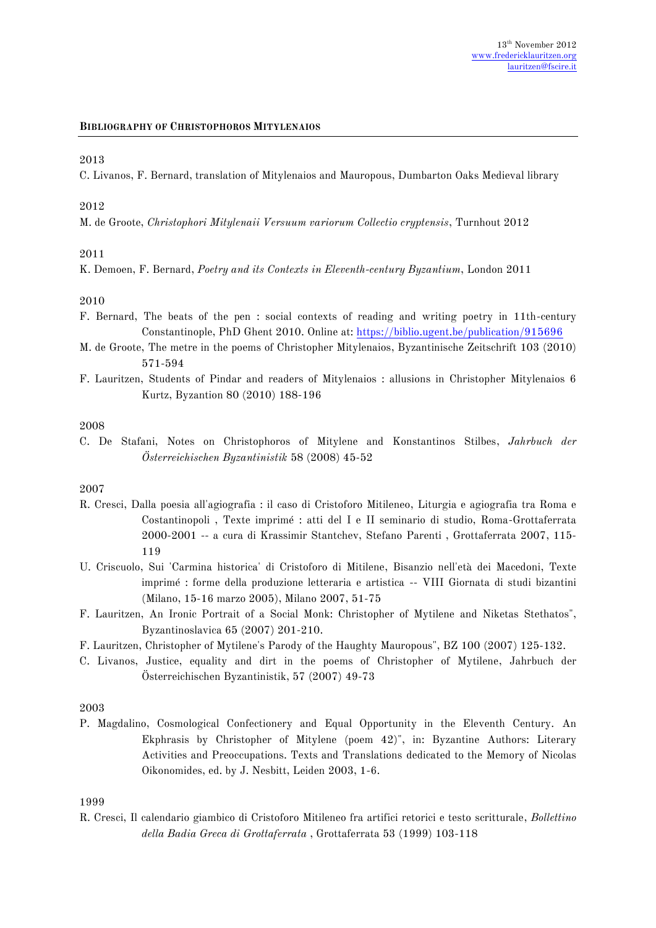### **BIBLIOGRAPHY OF CHRISTOPHOROS MITYLENAIOS**

### 2013

C. Livanos, F. Bernard, translation of Mitylenaios and Mauropous, Dumbarton Oaks Medieval library

### 2012

M. de Groote, *Christophori Mitylenaii Versuum variorum Collectio cryptensis*, Turnhout 2012

### 2011

K. Demoen, F. Bernard, *Poetry and its Contexts in Eleventh-century Byzantium*, London 2011

### 2010

- F. Bernard, The beats of the pen : social contexts of reading and writing poetry in 11th-century Constantinople, PhD Ghent 2010. Online at:<https://biblio.ugent.be/publication/915696>
- M. de Groote, The metre in the poems of Christopher Mitylenaios, Byzantinische Zeitschrift 103 (2010) 571-594
- F. Lauritzen, Students of Pindar and readers of Mitylenaios : allusions in Christopher Mitylenaios 6 Kurtz, Byzantion 80 (2010) 188-196

### 2008

C. De Stafani, Notes on Christophoros of Mitylene and Konstantinos Stilbes, *Jahrbuch der Österreichischen Byzantinistik* 58 (2008) 45-52

#### 2007

- R. Cresci, Dalla poesia all'agiografia : il caso di Cristoforo Mitileneo, Liturgia e agiografia tra Roma e Costantinopoli , Texte imprimé : atti del I e II seminario di studio, Roma-Grottaferrata 2000-2001 -- a cura di Krassimir Stantchev, Stefano Parenti , Grottaferrata 2007, 115- 119
- U. Criscuolo, Sui 'Carmina historica' di Cristoforo di Mitilene, Bisanzio nell'età dei Macedoni, Texte imprimé : forme della produzione letteraria e artistica -- VIII Giornata di studi bizantini (Milano, 15-16 marzo 2005), Milano 2007, 51-75
- F. Lauritzen, An Ironic Portrait of a Social Monk: Christopher of Mytilene and Niketas Stethatos", Byzantinoslavica 65 (2007) 201-210.
- F. Lauritzen, Christopher of Mytilene's Parody of the Haughty Mauropous", BZ 100 (2007) 125-132.
- C. Livanos, Justice, equality and dirt in the poems of Christopher of Mytilene, Jahrbuch der Österreichischen Byzantinistik, 57 (2007) 49-73

### 2003

P. Magdalino, Cosmological Confectionery and Equal Opportunity in the Eleventh Century. An Ekphrasis by Christopher of Mitylene (poem 42)", in: Byzantine Authors: Literary Activities and Preoccupations. Texts and Translations dedicated to the Memory of Nicolas Oikonomides, ed. by J. Nesbitt, Leiden 2003, 1-6.

## 1999

R. Cresci, Il calendario giambico di Cristoforo Mitileneo fra artifici retorici e testo scritturale, *Bollettino della Badia Greca di Grottaferrata* , Grottaferrata 53 (1999) 103-118